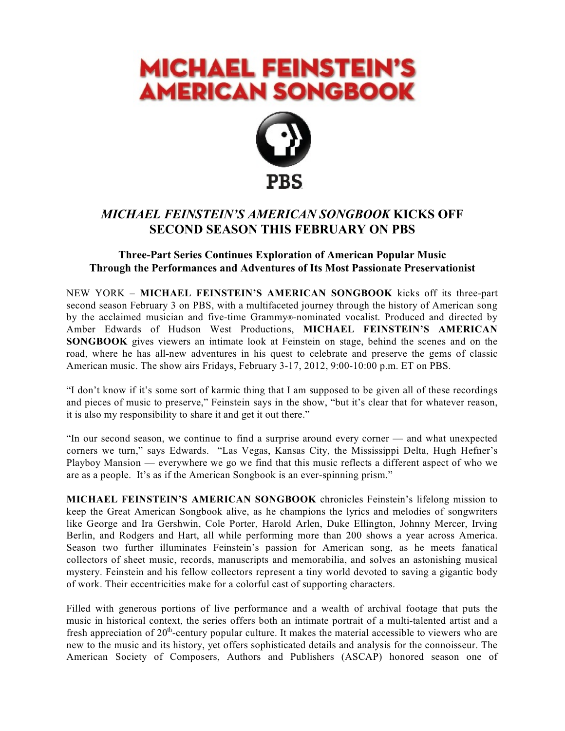# **MICHAEL FEINSTEIN'S AMERICAN SONGBOOK**



# *MICHAEL FEINSTEIN'S AMERICAN SONGBOOK* **KICKS OFF SECOND SEASON THIS FEBRUARY ON PBS**

# **Three-Part Series Continues Exploration of American Popular Music Through the Performances and Adventures of Its Most Passionate Preservationist**

NEW YORK – **MICHAEL FEINSTEIN'S AMERICAN SONGBOOK** kicks off its three-part second season February 3 on PBS, with a multifaceted journey through the history of American song by the acclaimed musician and five-time Grammy®-nominated vocalist. Produced and directed by Amber Edwards of Hudson West Productions, **MICHAEL FEINSTEIN'S AMERICAN SONGBOOK** gives viewers an intimate look at Feinstein on stage, behind the scenes and on the road, where he has all**-**new adventures in his quest to celebrate and preserve the gems of classic American music. The show airs Fridays, February 3-17, 2012, 9:00-10:00 p.m. ET on PBS.

"I don't know if it's some sort of karmic thing that I am supposed to be given all of these recordings and pieces of music to preserve," Feinstein says in the show, "but it's clear that for whatever reason, it is also my responsibility to share it and get it out there."

"In our second season, we continue to find a surprise around every corner — and what unexpected corners we turn," says Edwards. "Las Vegas, Kansas City, the Mississippi Delta, Hugh Hefner's Playboy Mansion — everywhere we go we find that this music reflects a different aspect of who we are as a people. It's as if the American Songbook is an ever-spinning prism."

**MICHAEL FEINSTEIN'S AMERICAN SONGBOOK** chronicles Feinstein's lifelong mission to keep the Great American Songbook alive, as he champions the lyrics and melodies of songwriters like George and Ira Gershwin, Cole Porter, Harold Arlen, Duke Ellington, Johnny Mercer, Irving Berlin, and Rodgers and Hart, all while performing more than 200 shows a year across America. Season two further illuminates Feinstein's passion for American song, as he meets fanatical collectors of sheet music, records, manuscripts and memorabilia, and solves an astonishing musical mystery. Feinstein and his fellow collectors represent a tiny world devoted to saving a gigantic body of work. Their eccentricities make for a colorful cast of supporting characters.

Filled with generous portions of live performance and a wealth of archival footage that puts the music in historical context, the series offers both an intimate portrait of a multi-talented artist and a fresh appreciation of  $20<sup>th</sup>$ -century popular culture. It makes the material accessible to viewers who are new to the music and its history, yet offers sophisticated details and analysis for the connoisseur. The American Society of Composers, Authors and Publishers (ASCAP) honored season one of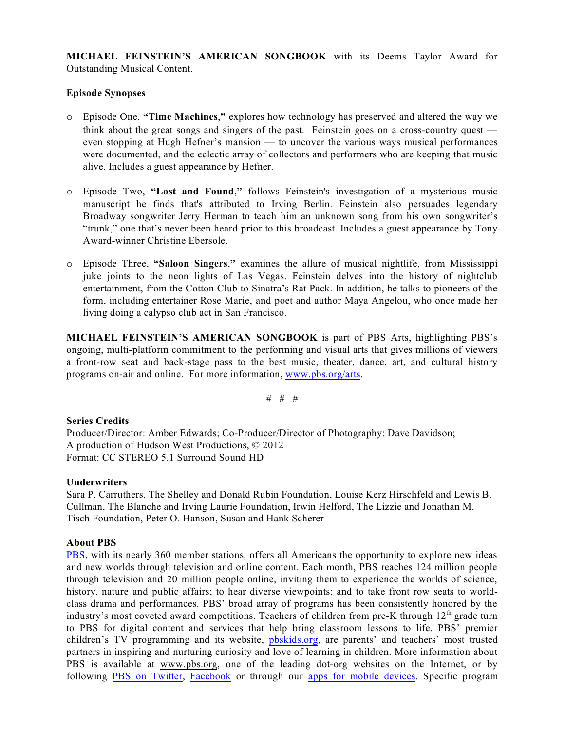**MICHAEL FEINSTEIN'S AMERICAN SONGBOOK** with its Deems Taylor Award for Outstanding Musical Content.

#### **Episode Synopses**

- o Episode One, **"Time Machines**,**"** explores how technology has preserved and altered the way we think about the great songs and singers of the past. Feinstein goes on a cross-country quest even stopping at Hugh Hefner's mansion — to uncover the various ways musical performances were documented, and the eclectic array of collectors and performers who are keeping that music alive. Includes a guest appearance by Hefner.
- o Episode Two, **"Lost and Found**,**"** follows Feinstein's investigation of a mysterious music manuscript he finds that's attributed to Irving Berlin. Feinstein also persuades legendary Broadway songwriter Jerry Herman to teach him an unknown song from his own songwriter's "trunk," one that's never been heard prior to this broadcast. Includes a guest appearance by Tony Award-winner Christine Ebersole.
- o Episode Three, **"Saloon Singers**,**"** examines the allure of musical nightlife, from Mississippi juke joints to the neon lights of Las Vegas. Feinstein delves into the history of nightclub entertainment, from the Cotton Club to Sinatra's Rat Pack. In addition, he talks to pioneers of the form, including entertainer Rose Marie, and poet and author Maya Angelou, who once made her living doing a calypso club act in San Francisco.

**MICHAEL FEINSTEIN'S AMERICAN SONGBOOK** is part of PBS Arts, highlighting PBS's ongoing, multi-platform commitment to the performing and visual arts that gives millions of viewers a front-row seat and back-stage pass to the best music, theater, dance, art, and cultural history programs on-air and online. For more information, [www.pbs.org/arts](http://www.pbs.org/arts).

# # #

#### **Series Credits**

Producer/Director: Amber Edwards; Co-Producer/Director of Photography: Dave Davidson; A production of Hudson West Productions, © 2012 Format: CC STEREO 5.1 Surround Sound HD

#### **Underwriters**

Sara P. Carruthers, The Shelley and Donald Rubin Foundation, Louise Kerz Hirschfeld and Lewis B. Cullman, The Blanche and Irving Laurie Foundation, Irwin Helford, The Lizzie and Jonathan M. Tisch Foundation, Peter O. Hanson, Susan and Hank Scherer

#### **About PBS**

[PBS](http://www.pbs.org/), with its nearly 360 member stations, offers all Americans the opportunity to explore new ideas and new worlds through television and online content. Each month, PBS reaches 124 million people through television and 20 million people online, inviting them to experience the worlds of science, history, nature and public affairs; to hear diverse viewpoints; and to take front row seats to worldclass drama and performances. PBS' broad array of programs has been consistently honored by the industry's most coveted award competitions. Teachers of children from pre-K through  $12<sup>th</sup>$  grade turn to PBS for digital content and services that help bring classroom lessons to life. PBS' premier children's TV programming and its website, [pbskids.org](http://www.pbskids.org/), are parents' and teachers' most trusted partners in inspiring and nurturing curiosity and love of learning in children. More information about PBS is available at www.pbs.org, one of the leading dot-org websites on the Internet, or by following PBS on [Twitter](http://www.twitter.com/pbs), [Facebook](http://www.facebook.com/pbs) or through our apps for mobile [devices](http://www.pbs.org/services/mobile/). Specific program